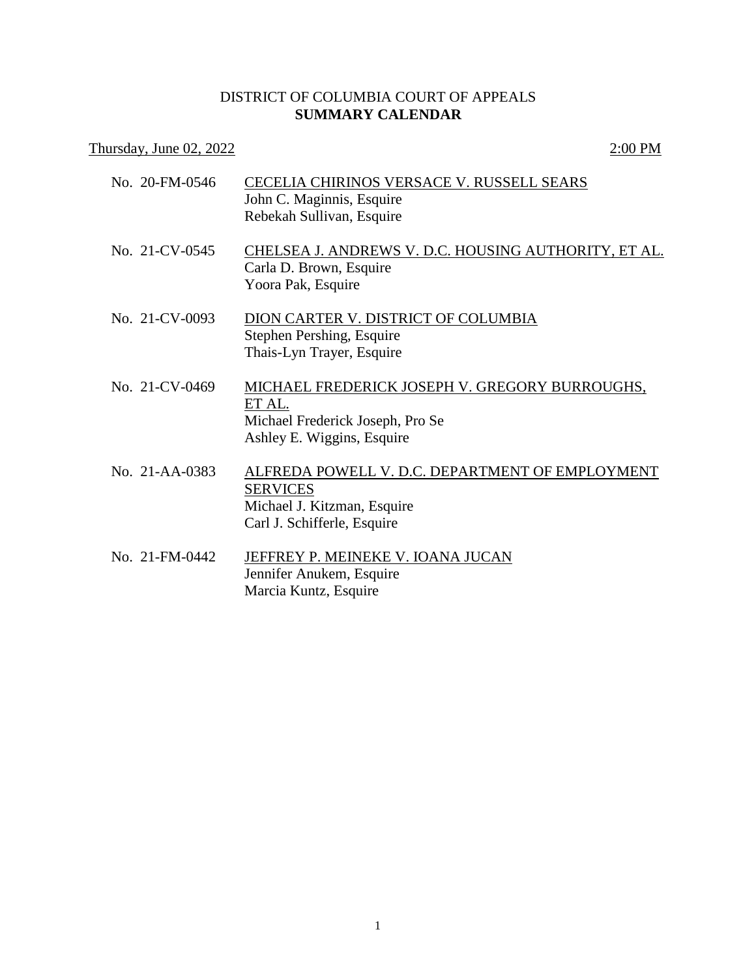## DISTRICT OF COLUMBIA COURT OF APPEALS **SUMMARY CALENDAR**

## Thursday, June 02, 2022 2:00 PM

| No. 20-FM-0546 | CECELIA CHIRINOS VERSACE V. RUSSELL SEARS<br>John C. Maginnis, Esquire<br>Rebekah Sullivan, Esquire                              |
|----------------|----------------------------------------------------------------------------------------------------------------------------------|
| No. 21-CV-0545 | CHELSEA J. ANDREWS V. D.C. HOUSING AUTHORITY, ET AL.<br>Carla D. Brown, Esquire<br>Yoora Pak, Esquire                            |
| No. 21-CV-0093 | DION CARTER V. DISTRICT OF COLUMBIA<br>Stephen Pershing, Esquire<br>Thais-Lyn Trayer, Esquire                                    |
| No. 21-CV-0469 | MICHAEL FREDERICK JOSEPH V. GREGORY BURROUGHS,<br>ET AL.<br>Michael Frederick Joseph, Pro Se<br>Ashley E. Wiggins, Esquire       |
| No. 21-AA-0383 | ALFREDA POWELL V. D.C. DEPARTMENT OF EMPLOYMENT<br><b>SERVICES</b><br>Michael J. Kitzman, Esquire<br>Carl J. Schifferle, Esquire |
| No. 21-FM-0442 | JEFFREY P. MEINEKE V. IOANA JUCAN<br>Jennifer Anukem, Esquire<br>Marcia Kuntz, Esquire                                           |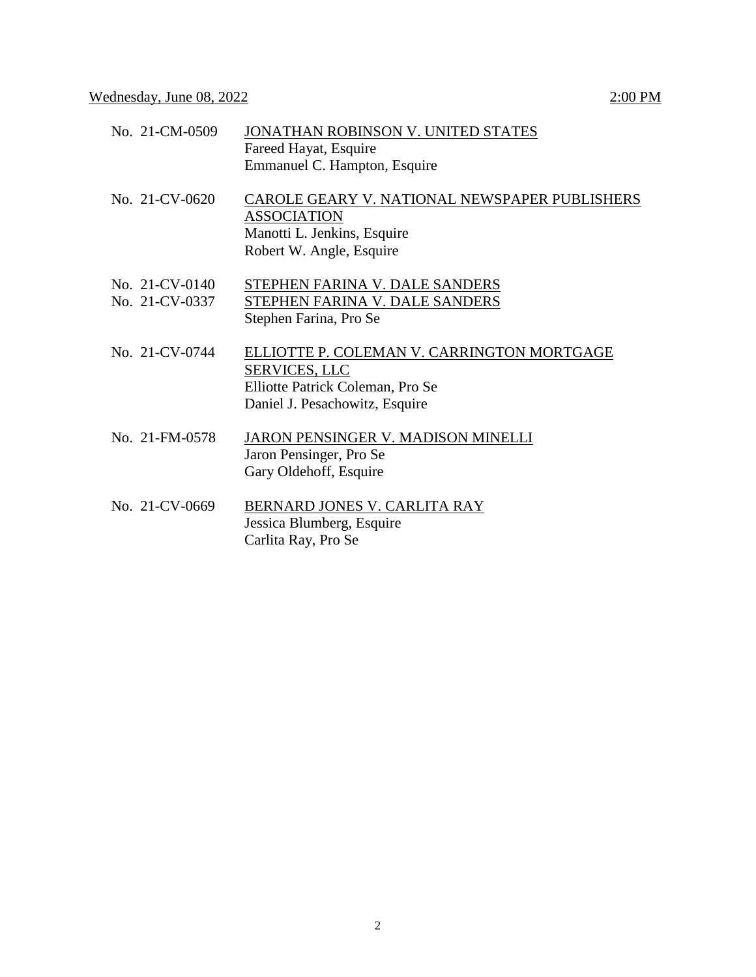| No. 21-CM-0509                   | JONATHAN ROBINSON V. UNITED STATES<br>Fareed Hayat, Esquire<br>Emmanuel C. Hampton, Esquire                                              |
|----------------------------------|------------------------------------------------------------------------------------------------------------------------------------------|
| No. 21-CV-0620                   | CAROLE GEARY V. NATIONAL NEWSPAPER PUBLISHERS<br><b>ASSOCIATION</b><br>Manotti L. Jenkins, Esquire<br>Robert W. Angle, Esquire           |
| No. 21-CV-0140<br>No. 21-CV-0337 | STEPHEN FARINA V. DALE SANDERS<br>STEPHEN FARINA V. DALE SANDERS<br>Stephen Farina, Pro Se                                               |
| No. 21-CV-0744                   | ELLIOTTE P. COLEMAN V. CARRINGTON MORTGAGE<br><b>SERVICES, LLC</b><br>Elliotte Patrick Coleman, Pro Se<br>Daniel J. Pesachowitz, Esquire |
| No. 21-FM-0578                   | JARON PENSINGER V. MADISON MINELLI<br>Jaron Pensinger, Pro Se<br>Gary Oldehoff, Esquire                                                  |
| No. 21-CV-0669                   | BERNARD JONES V. CARLITA RAY<br>Jessica Blumberg, Esquire<br>Carlita Ray, Pro Se                                                         |